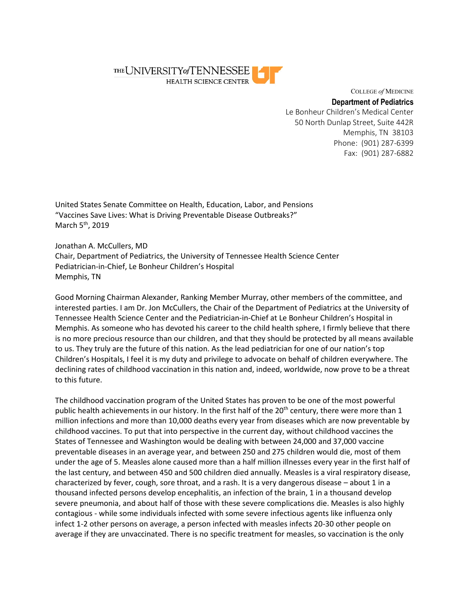

COLLEGE *of* MEDICINE

## **Department of Pediatrics**

Le Bonheur Children's Medical Center 50 North Dunlap Street, Suite 442R Memphis, TN 38103 Phone: (901) 287-6399 Fax: (901) 287-6882

United States Senate Committee on Health, Education, Labor, and Pensions "Vaccines Save Lives: What is Driving Preventable Disease Outbreaks?" March 5<sup>th</sup>, 2019

Jonathan A. McCullers, MD Chair, Department of Pediatrics, the University of Tennessee Health Science Center Pediatrician-in-Chief, Le Bonheur Children's Hospital Memphis, TN

Good Morning Chairman Alexander, Ranking Member Murray, other members of the committee, and interested parties. I am Dr. Jon McCullers, the Chair of the Department of Pediatrics at the University of Tennessee Health Science Center and the Pediatrician-in-Chief at Le Bonheur Children's Hospital in Memphis. As someone who has devoted his career to the child health sphere, I firmly believe that there is no more precious resource than our children, and that they should be protected by all means available to us. They truly are the future of this nation. As the lead pediatrician for one of our nation's top Children's Hospitals, I feel it is my duty and privilege to advocate on behalf of children everywhere. The declining rates of childhood vaccination in this nation and, indeed, worldwide, now prove to be a threat to this future.

The childhood vaccination program of the United States has proven to be one of the most powerful public health achievements in our history. In the first half of the  $20<sup>th</sup>$  century, there were more than 1 million infections and more than 10,000 deaths every year from diseases which are now preventable by childhood vaccines. To put that into perspective in the current day, without childhood vaccines the States of Tennessee and Washington would be dealing with between 24,000 and 37,000 vaccine preventable diseases in an average year, and between 250 and 275 children would die, most of them under the age of 5. Measles alone caused more than a half million illnesses every year in the first half of the last century, and between 450 and 500 children died annually. Measles is a viral respiratory disease, characterized by fever, cough, sore throat, and a rash. It is a very dangerous disease – about 1 in a thousand infected persons develop encephalitis, an infection of the brain, 1 in a thousand develop severe pneumonia, and about half of those with these severe complications die. Measles is also highly contagious - while some individuals infected with some severe infectious agents like influenza only infect 1-2 other persons on average, a person infected with measles infects 20-30 other people on average if they are unvaccinated. There is no specific treatment for measles, so vaccination is the only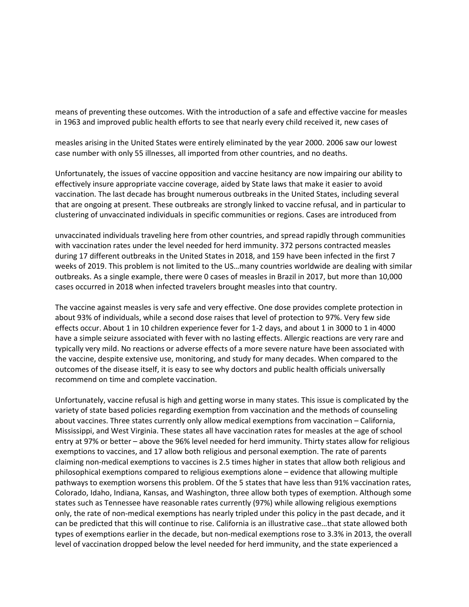means of preventing these outcomes. With the introduction of a safe and effective vaccine for measles in 1963 and improved public health efforts to see that nearly every child received it, new cases of

measles arising in the United States were entirely eliminated by the year 2000. 2006 saw our lowest case number with only 55 illnesses, all imported from other countries, and no deaths.

Unfortunately, the issues of vaccine opposition and vaccine hesitancy are now impairing our ability to effectively insure appropriate vaccine coverage, aided by State laws that make it easier to avoid vaccination. The last decade has brought numerous outbreaks in the United States, including several that are ongoing at present. These outbreaks are strongly linked to vaccine refusal, and in particular to clustering of unvaccinated individuals in specific communities or regions. Cases are introduced from

unvaccinated individuals traveling here from other countries, and spread rapidly through communities with vaccination rates under the level needed for herd immunity. 372 persons contracted measles during 17 different outbreaks in the United States in 2018, and 159 have been infected in the first 7 weeks of 2019. This problem is not limited to the US…many countries worldwide are dealing with similar outbreaks. As a single example, there were 0 cases of measles in Brazil in 2017, but more than 10,000 cases occurred in 2018 when infected travelers brought measles into that country.

The vaccine against measles is very safe and very effective. One dose provides complete protection in about 93% of individuals, while a second dose raises that level of protection to 97%. Very few side effects occur. About 1 in 10 children experience fever for 1-2 days, and about 1 in 3000 to 1 in 4000 have a simple seizure associated with fever with no lasting effects. Allergic reactions are very rare and typically very mild. No reactions or adverse effects of a more severe nature have been associated with the vaccine, despite extensive use, monitoring, and study for many decades. When compared to the outcomes of the disease itself, it is easy to see why doctors and public health officials universally recommend on time and complete vaccination.

Unfortunately, vaccine refusal is high and getting worse in many states. This issue is complicated by the variety of state based policies regarding exemption from vaccination and the methods of counseling about vaccines. Three states currently only allow medical exemptions from vaccination – California, Mississippi, and West Virginia. These states all have vaccination rates for measles at the age of school entry at 97% or better – above the 96% level needed for herd immunity. Thirty states allow for religious exemptions to vaccines, and 17 allow both religious and personal exemption. The rate of parents claiming non-medical exemptions to vaccines is 2.5 times higher in states that allow both religious and philosophical exemptions compared to religious exemptions alone – evidence that allowing multiple pathways to exemption worsens this problem. Of the 5 states that have less than 91% vaccination rates, Colorado, Idaho, Indiana, Kansas, and Washington, three allow both types of exemption. Although some states such as Tennessee have reasonable rates currently (97%) while allowing religious exemptions only, the rate of non-medical exemptions has nearly tripled under this policy in the past decade, and it can be predicted that this will continue to rise. California is an illustrative case…that state allowed both types of exemptions earlier in the decade, but non-medical exemptions rose to 3.3% in 2013, the overall level of vaccination dropped below the level needed for herd immunity, and the state experienced a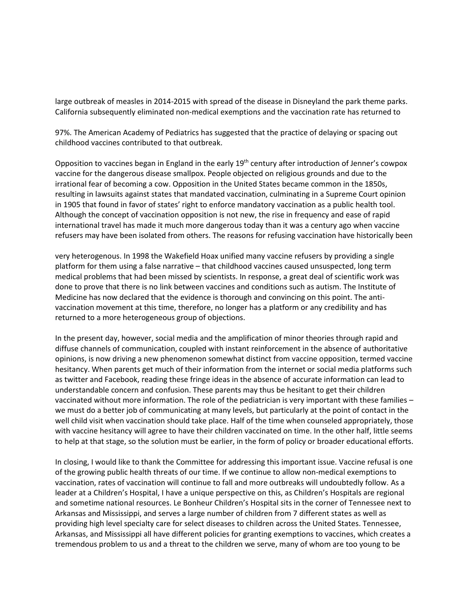large outbreak of measles in 2014-2015 with spread of the disease in Disneyland the park theme parks. California subsequently eliminated non-medical exemptions and the vaccination rate has returned to

97%. The American Academy of Pediatrics has suggested that the practice of delaying or spacing out childhood vaccines contributed to that outbreak.

Opposition to vaccines began in England in the early 19<sup>th</sup> century after introduction of Jenner's cowpox vaccine for the dangerous disease smallpox. People objected on religious grounds and due to the irrational fear of becoming a cow. Opposition in the United States became common in the 1850s, resulting in lawsuits against states that mandated vaccination, culminating in a Supreme Court opinion in 1905 that found in favor of states' right to enforce mandatory vaccination as a public health tool. Although the concept of vaccination opposition is not new, the rise in frequency and ease of rapid international travel has made it much more dangerous today than it was a century ago when vaccine refusers may have been isolated from others. The reasons for refusing vaccination have historically been

very heterogenous. In 1998 the Wakefield Hoax unified many vaccine refusers by providing a single platform for them using a false narrative – that childhood vaccines caused unsuspected, long term medical problems that had been missed by scientists. In response, a great deal of scientific work was done to prove that there is no link between vaccines and conditions such as autism. The Institute of Medicine has now declared that the evidence is thorough and convincing on this point. The antivaccination movement at this time, therefore, no longer has a platform or any credibility and has returned to a more heterogeneous group of objections.

In the present day, however, social media and the amplification of minor theories through rapid and diffuse channels of communication, coupled with instant reinforcement in the absence of authoritative opinions, is now driving a new phenomenon somewhat distinct from vaccine opposition, termed vaccine hesitancy. When parents get much of their information from the internet or social media platforms such as twitter and Facebook, reading these fringe ideas in the absence of accurate information can lead to understandable concern and confusion. These parents may thus be hesitant to get their children vaccinated without more information. The role of the pediatrician is very important with these families – we must do a better job of communicating at many levels, but particularly at the point of contact in the well child visit when vaccination should take place. Half of the time when counseled appropriately, those with vaccine hesitancy will agree to have their children vaccinated on time. In the other half, little seems to help at that stage, so the solution must be earlier, in the form of policy or broader educational efforts.

In closing, I would like to thank the Committee for addressing this important issue. Vaccine refusal is one of the growing public health threats of our time. If we continue to allow non-medical exemptions to vaccination, rates of vaccination will continue to fall and more outbreaks will undoubtedly follow. As a leader at a Children's Hospital, I have a unique perspective on this, as Children's Hospitals are regional and sometime national resources. Le Bonheur Children's Hospital sits in the corner of Tennessee next to Arkansas and Mississippi, and serves a large number of children from 7 different states as well as providing high level specialty care for select diseases to children across the United States. Tennessee, Arkansas, and Mississippi all have different policies for granting exemptions to vaccines, which creates a tremendous problem to us and a threat to the children we serve, many of whom are too young to be